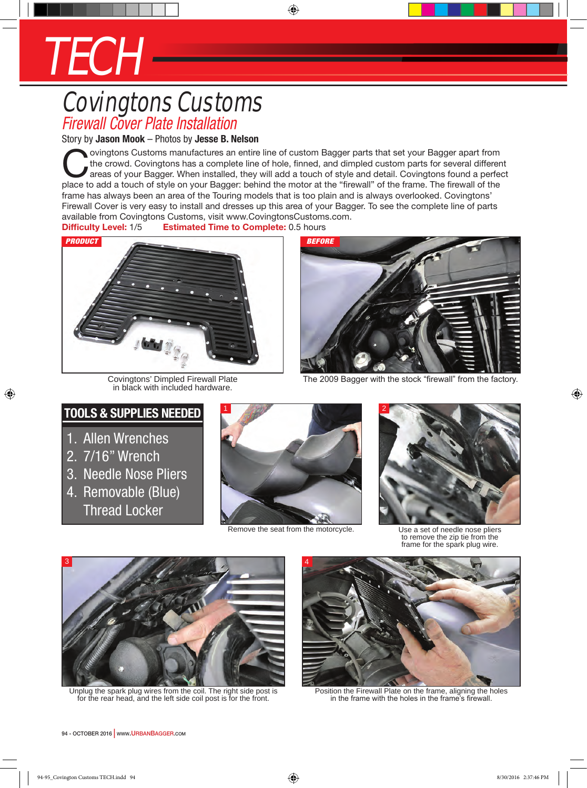## TECH

## Covingtons Customs *Firewall Cover Plate Installation*

Story by **Jason Mook** – Photos by **Jesse B. Nelson**

ovingtons Customs manufactures an entire line of custom Bagger parts that set your Bagger apart from the crowd. Covingtons has a complete line of hole, finned, and dimpled custom parts for several different areas of your B the crowd. Covingtons has a complete line of hole, finned, and dimpled custom parts for several different place to add a touch of style on your Bagger: behind the motor at the "firewall" of the frame. The firewall of the frame has always been an area of the Touring models that is too plain and is always overlooked. Covingtons' Firewall Cover is very easy to install and dresses up this area of your Bagger. To see the complete line of parts available from Covingtons Customs, visit www.CovingtonsCustoms.com.

⊕

**Difficulty Level:** 1/5 **Estimated Time to Complete:** 0.5 hours



Covingtons' Dimpled Firewall Plate in black with included hardware.



The 2009 Bagger with the stock "firewall" from the factory.

## **Tools & Supplies Needed**

- 1. Allen Wrenches
- 2. 7/16" Wrench

⊕

- 3. Needle Nose Pliers
- 4. Removable (Blue) Thread Locker



Remove the seat from the motorcycle. Use a set of needle nose pliers



to remove the zip tie from the frame for the spark plug wire.



Unplug the spark plug wires from the coil. The right side post is for the rear head, and the left side coil post is for the front.



Position the Firewall Plate on the frame, aligning the holes in the frame with the holes in the frame's firewall.

94 - OCTOBER 2016 | www.URBANBAGGER.com

⊕